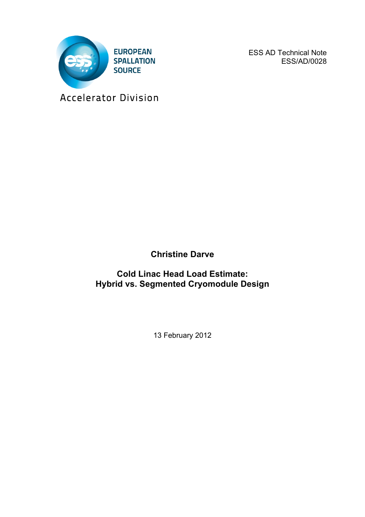

ESS AD Technical Note ESS/AD/0028

Accelerator Division

**Christine Darve**

**Cold Linac Head Load Estimate: Hybrid vs. Segmented Cryomodule Design**

13 February 2012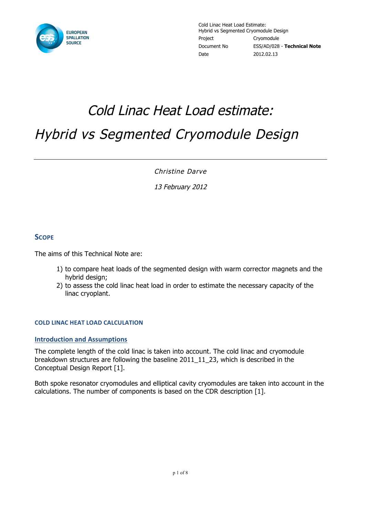

# Cold Linac Heat Load estimate: Hybrid vs Segmented Cryomodule Design

Christine Darve

13 February 2012

## **SCOPE**

The aims of this Technical Note are:

- 1) to compare heat loads of the segmented design with warm corrector magnets and the hybrid design;
- 2) to assess the cold linac heat load in order to estimate the necessary capacity of the linac cryoplant.

#### **COLD LINAC HEAT LOAD CALCULATION**

#### **Introduction and Assumptions**

The complete length of the cold linac is taken into account. The cold linac and cryomodule breakdown structures are following the baseline 2011\_11\_23, which is described in the Conceptual Design Report [1].

Both spoke resonator cryomodules and elliptical cavity cryomodules are taken into account in the calculations. The number of components is based on the CDR description [1].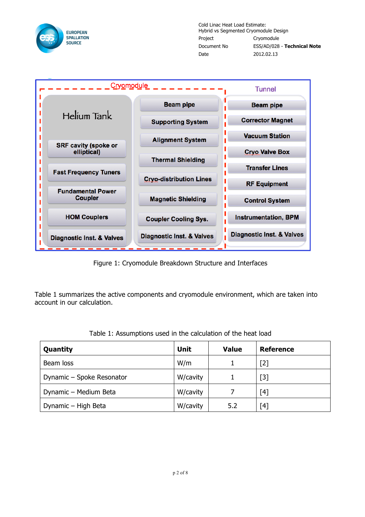

Cold Linac Heat Load Estimate: Hybrid vs Segmented Cryomodule Design Project Cryomodule Document No ESS/AD/028 - **Technical Note** Date 2012.02.13



Figure 1: Cryomodule Breakdown Structure and Interfaces

Table 1 summarizes the active components and cryomodule environment, which are taken into account in our calculation.

| Quantity                  | <b>Unit</b> | <b>Value</b> | <b>Reference</b> |
|---------------------------|-------------|--------------|------------------|
| Beam loss                 | W/m         |              | $[2]$            |
| Dynamic - Spoke Resonator | W/cavity    |              | $[3]$            |
| Dynamic - Medium Beta     | W/cavity    |              | [4]              |
| Dynamic - High Beta       | W/cavity    | 5.2          | [4]              |

Table 1: Assumptions used in the calculation of the heat load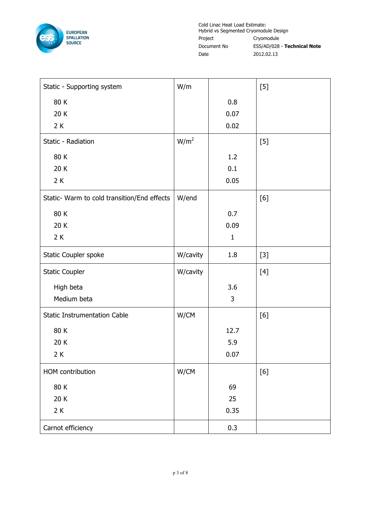

Cold Linac Heat Load Estimate: Hybrid vs Segmented Cryomodule Design Project Cryomodule Document No ESS/AD/028 - **Technical Note** Date 2012.02.13

| Static - Supporting system                  | W/m              |              | $[5]$ |
|---------------------------------------------|------------------|--------------|-------|
| 80 K                                        |                  | 0.8          |       |
| 20 K                                        |                  | 0.07         |       |
| 2K                                          |                  | 0.02         |       |
| Static - Radiation                          | W/m <sup>2</sup> |              | $[5]$ |
| 80 K                                        |                  | 1.2          |       |
| 20 K                                        |                  | 0.1          |       |
| 2K                                          |                  | 0.05         |       |
| Static- Warm to cold transition/End effects | W/end            |              | [6]   |
| 80 K                                        |                  | 0.7          |       |
| 20 K                                        |                  | 0.09         |       |
| 2K                                          |                  | $\mathbf{1}$ |       |
| Static Coupler spoke                        | W/cavity         | 1.8          | $[3]$ |
| <b>Static Coupler</b>                       | W/cavity         |              | $[4]$ |
| High beta                                   |                  | 3.6          |       |
| Medium beta                                 |                  | 3            |       |
| <b>Static Instrumentation Cable</b>         | W/CM             |              | [6]   |
| 80 K                                        |                  | 12.7         |       |
| 20K                                         |                  | 5.9          |       |
| $2K$                                        |                  | 0.07         |       |
| HOM contribution                            | W/CM             |              | $[6]$ |
| 80 K                                        |                  | 69           |       |
| 20 K                                        |                  | 25           |       |
| $2K$                                        |                  | 0.35         |       |
| Carnot efficiency                           |                  | 0.3          |       |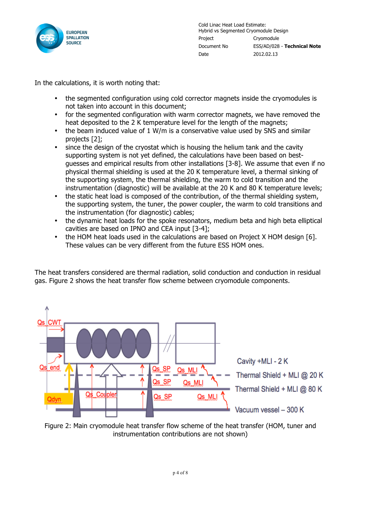

In the calculations, it is worth noting that:

- the segmented configuration using cold corrector magnets inside the cryomodules is not taken into account in this document;
- for the segmented configuration with warm corrector magnets, we have removed the heat deposited to the 2 K temperature level for the length of the magnets;
- the beam induced value of 1 W/m is a conservative value used by SNS and similar projects [2];
- since the design of the cryostat which is housing the helium tank and the cavity supporting system is not yet defined, the calculations have been based on bestguesses and empirical results from other installations [3-8]. We assume that even if no physical thermal shielding is used at the 20 K temperature level, a thermal sinking of the supporting system, the thermal shielding, the warm to cold transition and the instrumentation (diagnostic) will be available at the 20 K and 80 K temperature levels;
- the static heat load is composed of the contribution, of the thermal shielding system, the supporting system, the tuner, the power coupler, the warm to cold transitions and the instrumentation (for diagnostic) cables;
- the dynamic heat loads for the spoke resonators, medium beta and high beta elliptical cavities are based on IPNO and CEA input [3-4];
- the HOM heat loads used in the calculations are based on Project X HOM design [6]. These values can be very different from the future ESS HOM ones.

The heat transfers considered are thermal radiation, solid conduction and conduction in residual gas. Figure 2 shows the heat transfer flow scheme between cryomodule components.



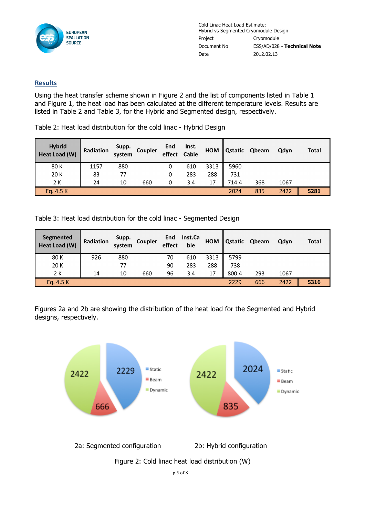

Cold Linac Heat Load Estimate: Hybrid vs Segmented Cryomodule Design Project Cryomodule Document No ESS/AD/028 - **Technical Note** Date 2012.02.13

### **Results**

Using the heat transfer scheme shown in Figure 2 and the list of components listed in Table 1 and Figure 1, the heat load has been calculated at the different temperature levels. Results are listed in Table 2 and Table 3, for the Hybrid and Segmented design, respectively.

Table 2: Heat load distribution for the cold linac - Hybrid Design

| <b>Hybrid</b><br>Heat Load (W) | Radiation | Supp.<br>system | Coupler | End<br>effect | Inst.<br>Cable | <b>HOM</b> | Qstatic | Qbeam | Qdyn | Total |
|--------------------------------|-----------|-----------------|---------|---------------|----------------|------------|---------|-------|------|-------|
| 80 K                           | 1157      | 880             |         | 0             | 610            | 3313       | 5960    |       |      |       |
| 20 K                           | 83        | 77              |         | 0             | 283            | 288        | 731     |       |      |       |
| 2 K                            | 24        | 10              | 660     | 0             | 3.4            | 17         | 714.4   | 368   | 1067 |       |
| Eq. $4.5 K$                    |           |                 |         |               |                |            | 2024    | 835   | 2422 | 5281  |

Table 3: Heat load distribution for the cold linac - Segmented Design

| Segmented<br>Heat Load (W) | Radiation | Supp.<br>system | Coupler | End<br>effect | Inst.Ca<br>ble | <b>HOM</b> | <b>Qstatic</b> | Qbeam | Qdyn | <b>Total</b> |
|----------------------------|-----------|-----------------|---------|---------------|----------------|------------|----------------|-------|------|--------------|
| 80 K                       | 926       | 880             |         | 70            | 610            | 3313       | 5799           |       |      |              |
| 20 K                       |           | 77              |         | 90            | 283            | 288        | 738            |       |      |              |
| 2 K                        | 14        | 10              | 660     | 96            | 3.4            | 17         | 800.4          | 293   | 1067 |              |
| Eq. $4.5 K$                |           |                 |         |               |                |            | 2229           | 666   | 2422 | 5316         |

Figures 2a and 2b are showing the distribution of the heat load for the Segmented and Hybrid designs, respectively.

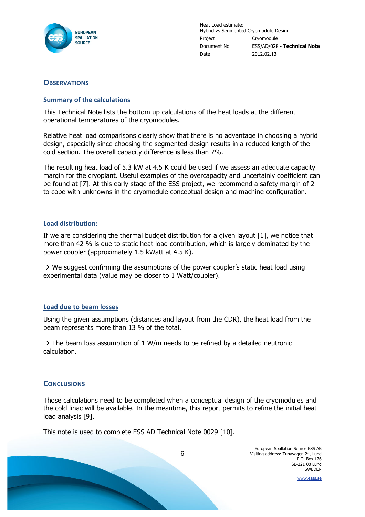

Heat Load estimate: Hybrid vs Segmented Cryomodule Design Project Cryomodule Document No ESS/AD/028 - **Technical Note** Date 2012.02.13

## **OBSERVATIONS**

#### **Summary of the calculations**

This Technical Note lists the bottom up calculations of the heat loads at the different operational temperatures of the cryomodules.

Relative heat load comparisons clearly show that there is no advantage in choosing a hybrid design, especially since choosing the segmented design results in a reduced length of the cold section. The overall capacity difference is less than 7%.

The resulting heat load of 5.3 kW at 4.5 K could be used if we assess an adequate capacity margin for the cryoplant. Useful examples of the overcapacity and uncertainly coefficient can be found at [7]. At this early stage of the ESS project, we recommend a safety margin of 2 to cope with unknowns in the cryomodule conceptual design and machine configuration.

#### Load distribution:

If we are considering the thermal budget distribution for a given layout [1], we notice that more than 42 % is due to static heat load contribution, which is largely dominated by the power coupler (approximately 1.5 kWatt at 4.5 K).

 $\rightarrow$  We suggest confirming the assumptions of the power coupler's static heat load using experimental data (value may be closer to 1 Watt/coupler).

#### **Load due to beam losses**

Using the given assumptions (distances and layout from the CDR), the heat load from the beam represents more than 13 % of the total.

 $\rightarrow$  The beam loss assumption of 1 W/m needs to be refined by a detailed neutronic calculation.

#### **CONCLUSIONS**

Those calculations need to be completed when a conceptual design of the cryomodules and the cold linac will be available. In the meantime, this report permits to refine the initial heat load analysis [9].

This note is used to complete ESS AD Technical Note 0029 [10].

6

www.esss.se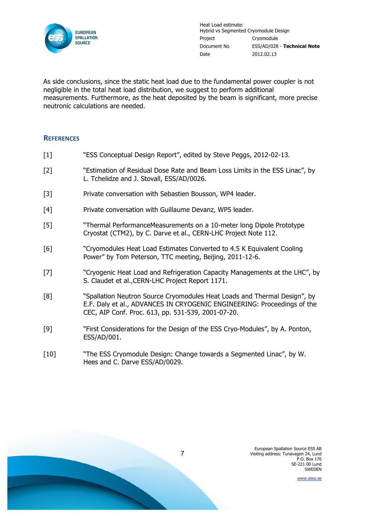

Heat Load estimate: Hybrid vs Segmented Cryomodule Design Project Cryomodule Document No ESS/AD/028 - **Technical Note** Date 2012.02.13

As side conclusions, since the static heat load due to the fundamental power coupler is not negligible in the total heat load distribution, we suggest to perform additional measurements. Furthermore, as the heat deposited by the beam is significant, more precise neutronic calculations are needed.

#### **REFERENCES**

- [1] "ESS Conceptual Design Report", edited by Steve Peggs, 2012-02-13.
- [2] "Estimation of Residual Dose Rate and Beam Loss Limits in the ESS Linac", by L. Tchelidze and J. Stovall, ESS/AD/0026.
- [3] Private conversation with Sebastien Bousson, WP4 leader.
- [4] Private conversation with Guillaume Devanz, WP5 leader.
- [5] "Thermal PerformanceMeasurements on a 10-meter long Dipole Prototype Cryostat (CTM2), by C. Darve et al., CERN-LHC Project Note 112.
- [6] "Cryomodules Heat Load Estimates Converted to 4.5 K Equivalent Cooling Power" by Tom Peterson, TTC meeting, Beijing, 2011-12-6.
- [7] "Cryogenic Heat Load and Refrigeration Capacity Managements at the LHC", by S. Claudet et al.,CERN-LHC Project Report 1171.
- [8] "Spallation Neutron Source Cryomodules Heat Loads and Thermal Design", by E.F. Daly et al., ADVANCES IN CRYOGENIC ENGINEERING: Proceedings of the CEC, AIP Conf. Proc. 613, pp. 531-539, 2001-07-20.
- [9] "First Considerations for the Design of the ESS Cryo-Modules", by A. Ponton, ESS/AD/001.
- [10] "The ESS Cryomodule Design: Change towards a Segmented Linac", by W. Hees and C. Darve ESS/AD/0029.

www.esss.se